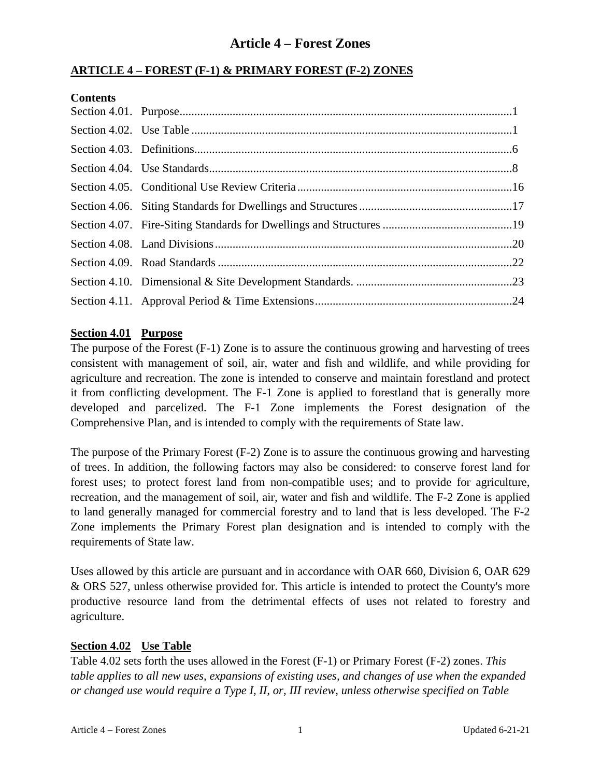#### **ARTICLE 4 – FOREST (F-1) & PRIMARY FOREST (F-2) ZONES**

#### **Contents**

#### **Section 4.01 Purpose**

The purpose of the Forest (F-1) Zone is to assure the continuous growing and harvesting of trees consistent with management of soil, air, water and fish and wildlife, and while providing for agriculture and recreation. The zone is intended to conserve and maintain forestland and protect it from conflicting development. The F-1 Zone is applied to forestland that is generally more developed and parcelized. The F-1 Zone implements the Forest designation of the Comprehensive Plan, and is intended to comply with the requirements of State law.

The purpose of the Primary Forest (F-2) Zone is to assure the continuous growing and harvesting of trees. In addition, the following factors may also be considered: to conserve forest land for forest uses; to protect forest land from non-compatible uses; and to provide for agriculture, recreation, and the management of soil, air, water and fish and wildlife. The F-2 Zone is applied to land generally managed for commercial forestry and to land that is less developed. The F-2 Zone implements the Primary Forest plan designation and is intended to comply with the requirements of State law.

Uses allowed by this article are pursuant and in accordance with OAR 660, Division 6, OAR 629 & ORS 527, unless otherwise provided for. This article is intended to protect the County's more productive resource land from the detrimental effects of uses not related to forestry and agriculture.

#### **Section 4.02 Use Table**

Table 4.02 sets forth the uses allowed in the Forest (F-1) or Primary Forest (F-2) zones. *This table applies to all new uses, expansions of existing uses, and changes of use when the expanded or changed use would require a Type I, II, or, III review, unless otherwise specified on Table*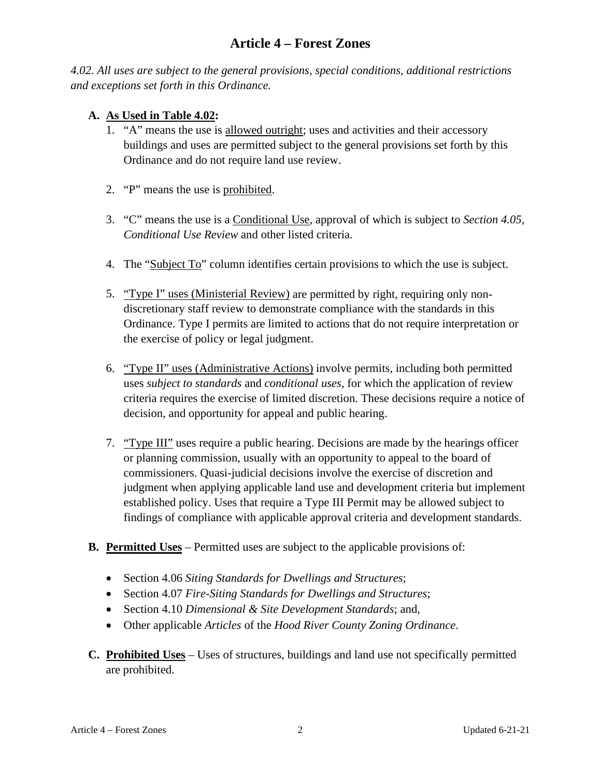*4.02. All uses are subject to the general provisions, special conditions, additional restrictions and exceptions set forth in this Ordinance.*

#### **A. As Used in Table 4.02:**

- 1. "A" means the use is allowed outright; uses and activities and their accessory buildings and uses are permitted subject to the general provisions set forth by this Ordinance and do not require land use review.
- 2. "P" means the use is prohibited.
- 3. "C" means the use is a Conditional Use, approval of which is subject to *Section 4.05, Conditional Use Review* and other listed criteria.
- 4. The "Subject To" column identifies certain provisions to which the use is subject.
- 5. "Type I" uses (Ministerial Review) are permitted by right, requiring only nondiscretionary staff review to demonstrate compliance with the standards in this Ordinance. Type I permits are limited to actions that do not require interpretation or the exercise of policy or legal judgment.
- 6. "Type II" uses (Administrative Actions) involve permits, including both permitted uses *subject to standards* and *conditional uses*, for which the application of review criteria requires the exercise of limited discretion. These decisions require a notice of decision, and opportunity for appeal and public hearing.
- 7. "Type III" uses require a public hearing. Decisions are made by the hearings officer or planning commission, usually with an opportunity to appeal to the board of commissioners. Quasi-judicial decisions involve the exercise of discretion and judgment when applying applicable land use and development criteria but implement established policy. Uses that require a Type III Permit may be allowed subject to findings of compliance with applicable approval criteria and development standards.
- **B. Permitted Uses** Permitted uses are subject to the applicable provisions of:
	- Section 4.06 *Siting Standards for Dwellings and Structures*;
	- Section 4.07 *Fire-Siting Standards for Dwellings and Structures*;
	- Section 4.10 *Dimensional & Site Development Standards*; and,
	- Other applicable *Articles* of the *Hood River County Zoning Ordinance*.
- **C. Prohibited Uses** Uses of structures, buildings and land use not specifically permitted are prohibited.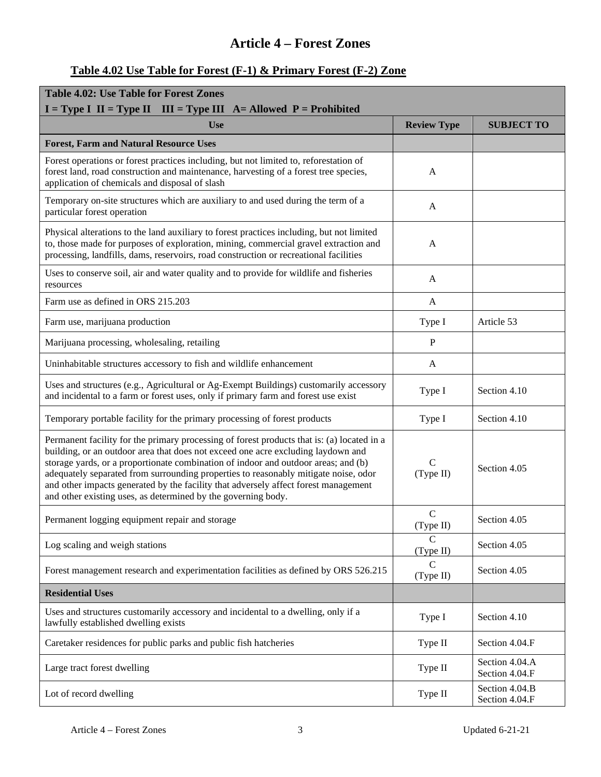#### **Table 4.02 Use Table for Forest (F-1) & Primary Forest (F-2) Zone**

| <b>Table 4.02: Use Table for Forest Zones</b>                                                                                                                                                                                                                                                                                                                                                                                                                                                                       |                            |                                  |  |
|---------------------------------------------------------------------------------------------------------------------------------------------------------------------------------------------------------------------------------------------------------------------------------------------------------------------------------------------------------------------------------------------------------------------------------------------------------------------------------------------------------------------|----------------------------|----------------------------------|--|
| $I = Type I$ II = Type II III = Type III A = Allowed P = Prohibited                                                                                                                                                                                                                                                                                                                                                                                                                                                 |                            |                                  |  |
| <b>Use</b>                                                                                                                                                                                                                                                                                                                                                                                                                                                                                                          | <b>Review Type</b>         | <b>SUBJECT TO</b>                |  |
| <b>Forest, Farm and Natural Resource Uses</b>                                                                                                                                                                                                                                                                                                                                                                                                                                                                       |                            |                                  |  |
| Forest operations or forest practices including, but not limited to, reforestation of<br>forest land, road construction and maintenance, harvesting of a forest tree species,<br>application of chemicals and disposal of slash                                                                                                                                                                                                                                                                                     | A                          |                                  |  |
| Temporary on-site structures which are auxiliary to and used during the term of a<br>particular forest operation                                                                                                                                                                                                                                                                                                                                                                                                    | A                          |                                  |  |
| Physical alterations to the land auxiliary to forest practices including, but not limited<br>to, those made for purposes of exploration, mining, commercial gravel extraction and<br>processing, landfills, dams, reservoirs, road construction or recreational facilities                                                                                                                                                                                                                                          | $\overline{A}$             |                                  |  |
| Uses to conserve soil, air and water quality and to provide for wildlife and fisheries<br>resources                                                                                                                                                                                                                                                                                                                                                                                                                 | A                          |                                  |  |
| Farm use as defined in ORS 215.203                                                                                                                                                                                                                                                                                                                                                                                                                                                                                  | A                          |                                  |  |
| Farm use, marijuana production                                                                                                                                                                                                                                                                                                                                                                                                                                                                                      | Type I                     | Article 53                       |  |
| Marijuana processing, wholesaling, retailing                                                                                                                                                                                                                                                                                                                                                                                                                                                                        | $\mathbf{P}$               |                                  |  |
| Uninhabitable structures accessory to fish and wildlife enhancement                                                                                                                                                                                                                                                                                                                                                                                                                                                 | A                          |                                  |  |
| Uses and structures (e.g., Agricultural or Ag-Exempt Buildings) customarily accessory<br>and incidental to a farm or forest uses, only if primary farm and forest use exist                                                                                                                                                                                                                                                                                                                                         | Type I                     | Section 4.10                     |  |
| Temporary portable facility for the primary processing of forest products                                                                                                                                                                                                                                                                                                                                                                                                                                           | Type I                     | Section 4.10                     |  |
| Permanent facility for the primary processing of forest products that is: (a) located in a<br>building, or an outdoor area that does not exceed one acre excluding laydown and<br>storage yards, or a proportionate combination of indoor and outdoor areas; and (b)<br>adequately separated from surrounding properties to reasonably mitigate noise, odor<br>and other impacts generated by the facility that adversely affect forest management<br>and other existing uses, as determined by the governing body. | $\mathsf{C}$<br>(Type II)  | Section 4.05                     |  |
| Permanent logging equipment repair and storage                                                                                                                                                                                                                                                                                                                                                                                                                                                                      | $\mathbf C$<br>(Type II)   | Section 4.05                     |  |
| Log scaling and weigh stations                                                                                                                                                                                                                                                                                                                                                                                                                                                                                      | $\mathcal{C}$<br>(Type II) | Section 4.05                     |  |
| Forest management research and experimentation facilities as defined by ORS 526.215                                                                                                                                                                                                                                                                                                                                                                                                                                 | $\mathcal{C}$<br>(Type II) | Section 4.05                     |  |
| <b>Residential Uses</b>                                                                                                                                                                                                                                                                                                                                                                                                                                                                                             |                            |                                  |  |
| Uses and structures customarily accessory and incidental to a dwelling, only if a<br>lawfully established dwelling exists                                                                                                                                                                                                                                                                                                                                                                                           | Type I                     | Section 4.10                     |  |
| Caretaker residences for public parks and public fish hatcheries                                                                                                                                                                                                                                                                                                                                                                                                                                                    | Type II                    | Section 4.04.F                   |  |
| Large tract forest dwelling                                                                                                                                                                                                                                                                                                                                                                                                                                                                                         | Type II                    | Section 4.04.A<br>Section 4.04.F |  |
| Lot of record dwelling                                                                                                                                                                                                                                                                                                                                                                                                                                                                                              | Type II                    | Section 4.04.B<br>Section 4.04.F |  |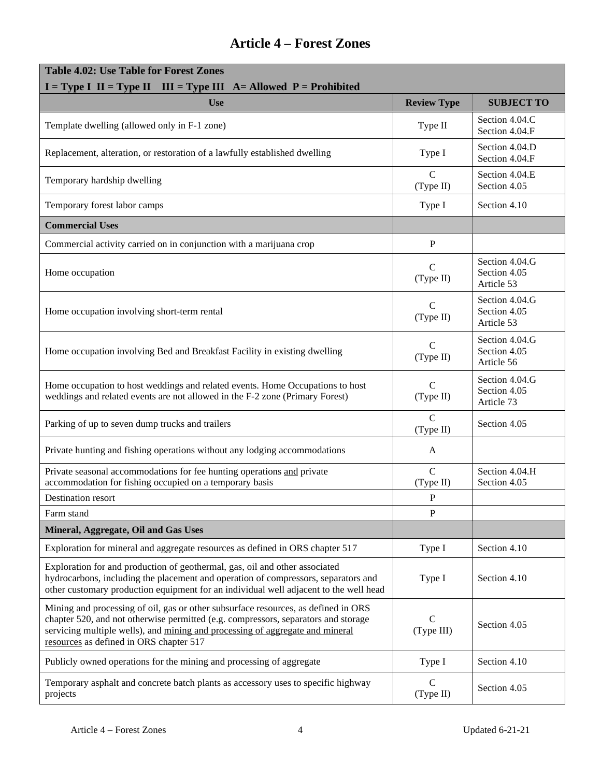| <b>Table 4.02: Use Table for Forest Zones</b><br>$I = Type I$ II = Type II III = Type III A = Allowed P = Prohibited                                                                                                                                                                                 |                             |                                              |  |  |
|------------------------------------------------------------------------------------------------------------------------------------------------------------------------------------------------------------------------------------------------------------------------------------------------------|-----------------------------|----------------------------------------------|--|--|
| <b>Use</b>                                                                                                                                                                                                                                                                                           | <b>Review Type</b>          | <b>SUBJECT TO</b>                            |  |  |
| Template dwelling (allowed only in F-1 zone)                                                                                                                                                                                                                                                         | Type II                     | Section 4.04.C<br>Section 4.04.F             |  |  |
| Replacement, alteration, or restoration of a lawfully established dwelling                                                                                                                                                                                                                           | Type I                      | Section 4.04.D<br>Section 4.04.F             |  |  |
| Temporary hardship dwelling                                                                                                                                                                                                                                                                          | $\mathcal{C}$<br>(Type II)  | Section 4.04.E<br>Section 4.05               |  |  |
| Temporary forest labor camps                                                                                                                                                                                                                                                                         | Type I                      | Section 4.10                                 |  |  |
| <b>Commercial Uses</b>                                                                                                                                                                                                                                                                               |                             |                                              |  |  |
| Commercial activity carried on in conjunction with a marijuana crop                                                                                                                                                                                                                                  | $\, {\bf P}$                |                                              |  |  |
| Home occupation                                                                                                                                                                                                                                                                                      | $\mathcal{C}$<br>(Type II)  | Section 4.04.G<br>Section 4.05<br>Article 53 |  |  |
| Home occupation involving short-term rental                                                                                                                                                                                                                                                          | $\mathcal{C}$<br>(Type II)  | Section 4.04.G<br>Section 4.05<br>Article 53 |  |  |
| Home occupation involving Bed and Breakfast Facility in existing dwelling                                                                                                                                                                                                                            | $\mathcal{C}$<br>(Type II)  | Section 4.04.G<br>Section 4.05<br>Article 56 |  |  |
| Home occupation to host weddings and related events. Home Occupations to host<br>weddings and related events are not allowed in the F-2 zone (Primary Forest)                                                                                                                                        | $\mathcal{C}$<br>(Type II)  | Section 4.04.G<br>Section 4.05<br>Article 73 |  |  |
| Parking of up to seven dump trucks and trailers                                                                                                                                                                                                                                                      | $\mathcal{C}$<br>(Type II)  | Section 4.05                                 |  |  |
| Private hunting and fishing operations without any lodging accommodations                                                                                                                                                                                                                            | A                           |                                              |  |  |
| Private seasonal accommodations for fee hunting operations and private<br>accommodation for fishing occupied on a temporary basis                                                                                                                                                                    | $\mathbf C$<br>(Type II)    | Section 4.04.H<br>Section 4.05               |  |  |
| Destination resort                                                                                                                                                                                                                                                                                   | P                           |                                              |  |  |
| Farm stand                                                                                                                                                                                                                                                                                           | $\mathbf{P}$                |                                              |  |  |
| Mineral, Aggregate, Oil and Gas Uses                                                                                                                                                                                                                                                                 |                             |                                              |  |  |
| Exploration for mineral and aggregate resources as defined in ORS chapter 517                                                                                                                                                                                                                        | Type I                      | Section 4.10                                 |  |  |
| Exploration for and production of geothermal, gas, oil and other associated<br>hydrocarbons, including the placement and operation of compressors, separators and<br>other customary production equipment for an individual well adjacent to the well head                                           | Type I                      | Section 4.10                                 |  |  |
| Mining and processing of oil, gas or other subsurface resources, as defined in ORS<br>chapter 520, and not otherwise permitted (e.g. compressors, separators and storage<br>servicing multiple wells), and mining and processing of aggregate and mineral<br>resources as defined in ORS chapter 517 | $\mathcal{C}$<br>(Type III) | Section 4.05                                 |  |  |
| Publicly owned operations for the mining and processing of aggregate                                                                                                                                                                                                                                 | Type I                      | Section 4.10                                 |  |  |
| Temporary asphalt and concrete batch plants as accessory uses to specific highway<br>projects                                                                                                                                                                                                        | $\mathbf C$<br>(Type II)    | Section 4.05                                 |  |  |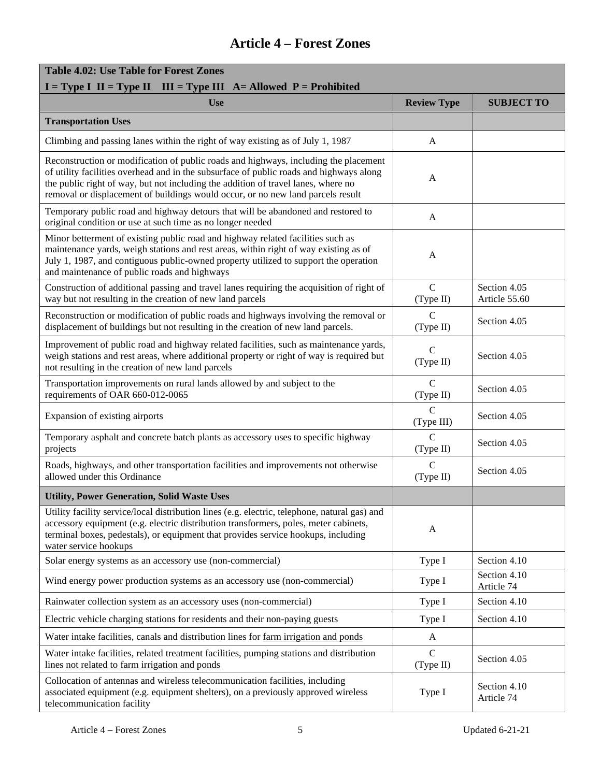| <b>Table 4.02: Use Table for Forest Zones</b>                                                                                                                                                                                                                                                                                                           |                             |                               |  |  |
|---------------------------------------------------------------------------------------------------------------------------------------------------------------------------------------------------------------------------------------------------------------------------------------------------------------------------------------------------------|-----------------------------|-------------------------------|--|--|
| $I = Type I$ II = Type II III = Type III A = Allowed P = Prohibited                                                                                                                                                                                                                                                                                     |                             |                               |  |  |
| <b>Use</b>                                                                                                                                                                                                                                                                                                                                              | <b>Review Type</b>          | <b>SUBJECT TO</b>             |  |  |
| <b>Transportation Uses</b>                                                                                                                                                                                                                                                                                                                              |                             |                               |  |  |
| Climbing and passing lanes within the right of way existing as of July 1, 1987                                                                                                                                                                                                                                                                          | A                           |                               |  |  |
| Reconstruction or modification of public roads and highways, including the placement<br>of utility facilities overhead and in the subsurface of public roads and highways along<br>the public right of way, but not including the addition of travel lanes, where no<br>removal or displacement of buildings would occur, or no new land parcels result | A                           |                               |  |  |
| Temporary public road and highway detours that will be abandoned and restored to<br>original condition or use at such time as no longer needed                                                                                                                                                                                                          | A                           |                               |  |  |
| Minor betterment of existing public road and highway related facilities such as<br>maintenance yards, weigh stations and rest areas, within right of way existing as of<br>July 1, 1987, and contiguous public-owned property utilized to support the operation<br>and maintenance of public roads and highways                                         | A                           |                               |  |  |
| Construction of additional passing and travel lanes requiring the acquisition of right of<br>way but not resulting in the creation of new land parcels                                                                                                                                                                                                  | $\mathbf C$<br>(Type II)    | Section 4.05<br>Article 55.60 |  |  |
| Reconstruction or modification of public roads and highways involving the removal or<br>displacement of buildings but not resulting in the creation of new land parcels.                                                                                                                                                                                | C<br>(Type II)              | Section 4.05                  |  |  |
| Improvement of public road and highway related facilities, such as maintenance yards,<br>weigh stations and rest areas, where additional property or right of way is required but<br>not resulting in the creation of new land parcels                                                                                                                  | $\mathcal{C}$<br>(Type II)  | Section 4.05                  |  |  |
| Transportation improvements on rural lands allowed by and subject to the<br>requirements of OAR 660-012-0065                                                                                                                                                                                                                                            | $\mathbf C$<br>(Type II)    | Section 4.05                  |  |  |
| Expansion of existing airports                                                                                                                                                                                                                                                                                                                          | C<br>(Type III)             | Section 4.05                  |  |  |
| Temporary asphalt and concrete batch plants as accessory uses to specific highway<br>projects                                                                                                                                                                                                                                                           | $\overline{C}$<br>(Type II) | Section 4.05                  |  |  |
| Roads, highways, and other transportation facilities and improvements not otherwise<br>allowed under this Ordinance                                                                                                                                                                                                                                     | $\mathbf C$<br>(Type II)    | Section 4.05                  |  |  |
| <b>Utility, Power Generation, Solid Waste Uses</b>                                                                                                                                                                                                                                                                                                      |                             |                               |  |  |
| Utility facility service/local distribution lines (e.g. electric, telephone, natural gas) and<br>accessory equipment (e.g. electric distribution transformers, poles, meter cabinets,<br>terminal boxes, pedestals), or equipment that provides service hookups, including<br>water service hookups                                                     | A                           |                               |  |  |
| Solar energy systems as an accessory use (non-commercial)                                                                                                                                                                                                                                                                                               | Type I                      | Section 4.10                  |  |  |
| Wind energy power production systems as an accessory use (non-commercial)                                                                                                                                                                                                                                                                               | Type I                      | Section 4.10<br>Article 74    |  |  |
| Rainwater collection system as an accessory uses (non-commercial)                                                                                                                                                                                                                                                                                       | Type I                      | Section 4.10                  |  |  |
| Electric vehicle charging stations for residents and their non-paying guests                                                                                                                                                                                                                                                                            | Type I                      | Section 4.10                  |  |  |
| Water intake facilities, canals and distribution lines for farm irrigation and ponds                                                                                                                                                                                                                                                                    | $\mathbf{A}$                |                               |  |  |
| Water intake facilities, related treatment facilities, pumping stations and distribution<br>lines not related to farm irrigation and ponds                                                                                                                                                                                                              | $\mathbf C$<br>(Type II)    | Section 4.05                  |  |  |
| Collocation of antennas and wireless telecommunication facilities, including<br>associated equipment (e.g. equipment shelters), on a previously approved wireless<br>telecommunication facility                                                                                                                                                         | Type I                      | Section 4.10<br>Article 74    |  |  |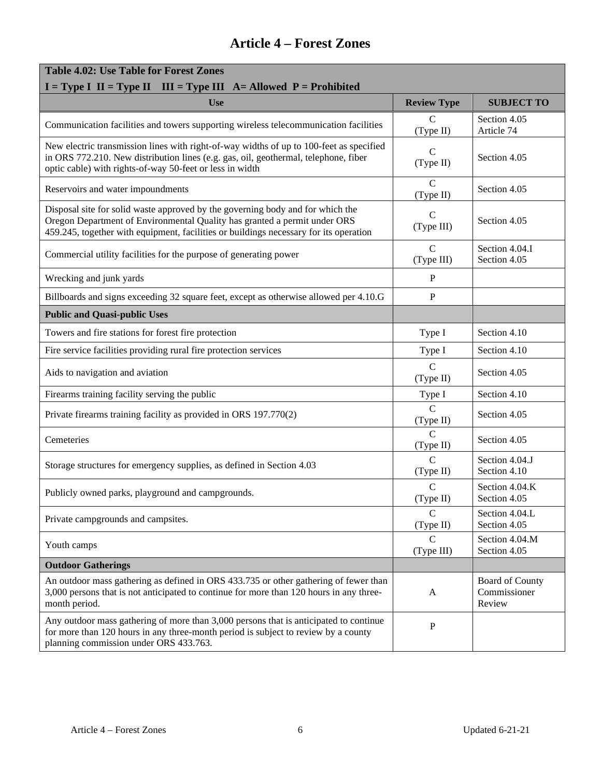| <b>Table 4.02: Use Table for Forest Zones</b><br>$I = Type I$ II = Type II III = Type III A = Allowed P = Prohibited                                                                                                                                 |                             |                                                  |  |
|------------------------------------------------------------------------------------------------------------------------------------------------------------------------------------------------------------------------------------------------------|-----------------------------|--------------------------------------------------|--|
| <b>Use</b>                                                                                                                                                                                                                                           | <b>Review Type</b>          | <b>SUBJECT TO</b>                                |  |
| Communication facilities and towers supporting wireless telecommunication facilities                                                                                                                                                                 | $\mathcal{C}$<br>(Type II)  | Section 4.05<br>Article 74                       |  |
| New electric transmission lines with right-of-way widths of up to 100-feet as specified<br>in ORS 772.210. New distribution lines (e.g. gas, oil, geothermal, telephone, fiber<br>optic cable) with rights-of-way 50-feet or less in width           | C<br>(Type II)              | Section 4.05                                     |  |
| Reservoirs and water impoundments                                                                                                                                                                                                                    | $\overline{C}$<br>(Type II) | Section 4.05                                     |  |
| Disposal site for solid waste approved by the governing body and for which the<br>Oregon Department of Environmental Quality has granted a permit under ORS<br>459.245, together with equipment, facilities or buildings necessary for its operation | $\mathcal{C}$<br>(Type III) | Section 4.05                                     |  |
| Commercial utility facilities for the purpose of generating power                                                                                                                                                                                    | $\mathbf C$<br>(Type III)   | Section 4.04.I<br>Section 4.05                   |  |
| Wrecking and junk yards                                                                                                                                                                                                                              | P                           |                                                  |  |
| Billboards and signs exceeding 32 square feet, except as otherwise allowed per 4.10.G                                                                                                                                                                | P                           |                                                  |  |
| <b>Public and Quasi-public Uses</b>                                                                                                                                                                                                                  |                             |                                                  |  |
| Towers and fire stations for forest fire protection                                                                                                                                                                                                  | Type I                      | Section 4.10                                     |  |
| Fire service facilities providing rural fire protection services                                                                                                                                                                                     | Type I                      | Section 4.10                                     |  |
| Aids to navigation and aviation                                                                                                                                                                                                                      | $\mathbf C$<br>(Type II)    | Section 4.05                                     |  |
| Firearms training facility serving the public                                                                                                                                                                                                        | Type I                      | Section 4.10                                     |  |
| Private firearms training facility as provided in ORS 197.770(2)                                                                                                                                                                                     | C<br>(Type II)              | Section 4.05                                     |  |
| Cemeteries                                                                                                                                                                                                                                           | $\mathsf{C}$<br>(Type II)   | Section 4.05                                     |  |
| Storage structures for emergency supplies, as defined in Section 4.03                                                                                                                                                                                | $\overline{C}$<br>(Type II) | Section 4.04.J<br>Section 4.10                   |  |
| Publicly owned parks, playground and campgrounds.                                                                                                                                                                                                    | $\mathbf C$<br>(Type II)    | Section 4.04.K<br>Section 4.05                   |  |
| Private campgrounds and campsites.                                                                                                                                                                                                                   | C<br>(Type II)              | Section 4.04.L<br>Section 4.05                   |  |
| Youth camps                                                                                                                                                                                                                                          | $\mathsf{C}$<br>(Type III)  | Section 4.04.M<br>Section 4.05                   |  |
| <b>Outdoor Gatherings</b>                                                                                                                                                                                                                            |                             |                                                  |  |
| An outdoor mass gathering as defined in ORS 433.735 or other gathering of fewer than<br>3,000 persons that is not anticipated to continue for more than 120 hours in any three-<br>month period.                                                     | A                           | <b>Board of County</b><br>Commissioner<br>Review |  |
| Any outdoor mass gathering of more than 3,000 persons that is anticipated to continue<br>for more than 120 hours in any three-month period is subject to review by a county<br>planning commission under ORS 433.763.                                | ${\bf P}$                   |                                                  |  |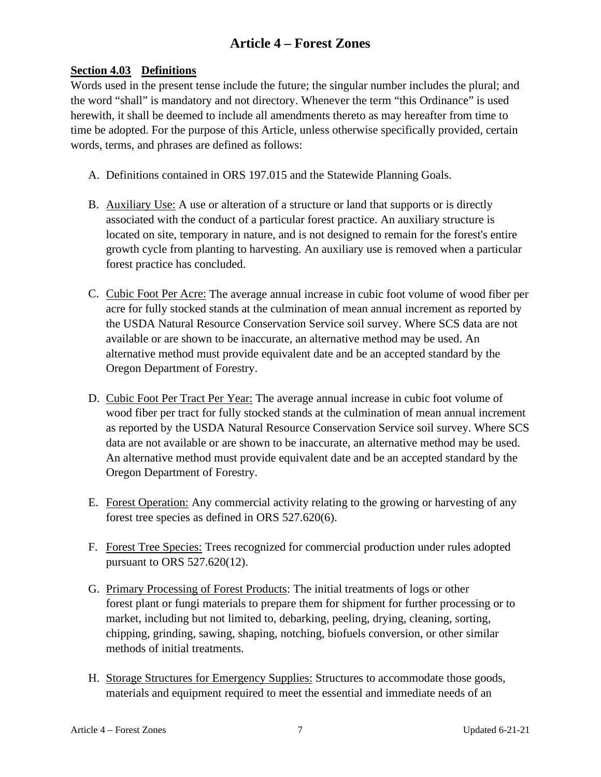#### **Section 4.03 Definitions**

Words used in the present tense include the future; the singular number includes the plural; and the word "shall" is mandatory and not directory. Whenever the term "this Ordinance" is used herewith, it shall be deemed to include all amendments thereto as may hereafter from time to time be adopted. For the purpose of this Article, unless otherwise specifically provided, certain words, terms, and phrases are defined as follows:

- A. Definitions contained in ORS 197.015 and the Statewide Planning Goals.
- B. Auxiliary Use: A use or alteration of a structure or land that supports or is directly associated with the conduct of a particular forest practice. An auxiliary structure is located on site, temporary in nature, and is not designed to remain for the forest's entire growth cycle from planting to harvesting. An auxiliary use is removed when a particular forest practice has concluded.
- C. Cubic Foot Per Acre: The average annual increase in cubic foot volume of wood fiber per acre for fully stocked stands at the culmination of mean annual increment as reported by the USDA Natural Resource Conservation Service soil survey. Where SCS data are not available or are shown to be inaccurate, an alternative method may be used. An alternative method must provide equivalent date and be an accepted standard by the Oregon Department of Forestry.
- D. Cubic Foot Per Tract Per Year: The average annual increase in cubic foot volume of wood fiber per tract for fully stocked stands at the culmination of mean annual increment as reported by the USDA Natural Resource Conservation Service soil survey. Where SCS data are not available or are shown to be inaccurate, an alternative method may be used. An alternative method must provide equivalent date and be an accepted standard by the Oregon Department of Forestry.
- E. Forest Operation: Any commercial activity relating to the growing or harvesting of any forest tree species as defined in ORS 527.620(6).
- F. Forest Tree Species: Trees recognized for commercial production under rules adopted pursuant to ORS 527.620(12).
- G. Primary Processing of Forest Products: The initial treatments of logs or other forest plant or fungi materials to prepare them for shipment for further processing or to market, including but not limited to, debarking, peeling, drying, cleaning, sorting, chipping, grinding, sawing, shaping, notching, biofuels conversion, or other similar methods of initial treatments.
- H. Storage Structures for Emergency Supplies: Structures to accommodate those goods, materials and equipment required to meet the essential and immediate needs of an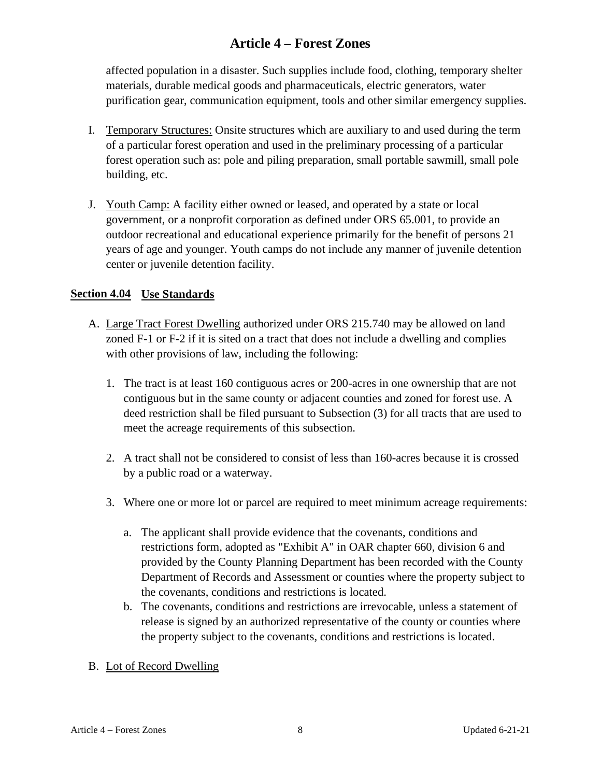affected population in a disaster. Such supplies include food, clothing, temporary shelter materials, durable medical goods and pharmaceuticals, electric generators, water purification gear, communication equipment, tools and other similar emergency supplies.

- I. Temporary Structures: Onsite structures which are auxiliary to and used during the term of a particular forest operation and used in the preliminary processing of a particular forest operation such as: pole and piling preparation, small portable sawmill, small pole building, etc.
- J. Youth Camp: A facility either owned or leased, and operated by a state or local government, or a nonprofit corporation as defined under ORS 65.001, to provide an outdoor recreational and educational experience primarily for the benefit of persons 21 years of age and younger. Youth camps do not include any manner of juvenile detention center or juvenile detention facility.

#### **Section 4.04 Use Standards**

- A. Large Tract Forest Dwelling authorized under ORS 215.740 may be allowed on land zoned F-1 or F-2 if it is sited on a tract that does not include a dwelling and complies with other provisions of law, including the following:
	- 1. The tract is at least 160 contiguous acres or 200-acres in one ownership that are not contiguous but in the same county or adjacent counties and zoned for forest use. A deed restriction shall be filed pursuant to Subsection (3) for all tracts that are used to meet the acreage requirements of this subsection.
	- 2. A tract shall not be considered to consist of less than 160-acres because it is crossed by a public road or a waterway.
	- 3. Where one or more lot or parcel are required to meet minimum acreage requirements:
		- a. The applicant shall provide evidence that the covenants, conditions and restrictions form, adopted as "Exhibit A" in OAR chapter 660, division 6 and provided by the County Planning Department has been recorded with the County Department of Records and Assessment or counties where the property subject to the covenants, conditions and restrictions is located.
		- b. The covenants, conditions and restrictions are irrevocable, unless a statement of release is signed by an authorized representative of the county or counties where the property subject to the covenants, conditions and restrictions is located.
- B. Lot of Record Dwelling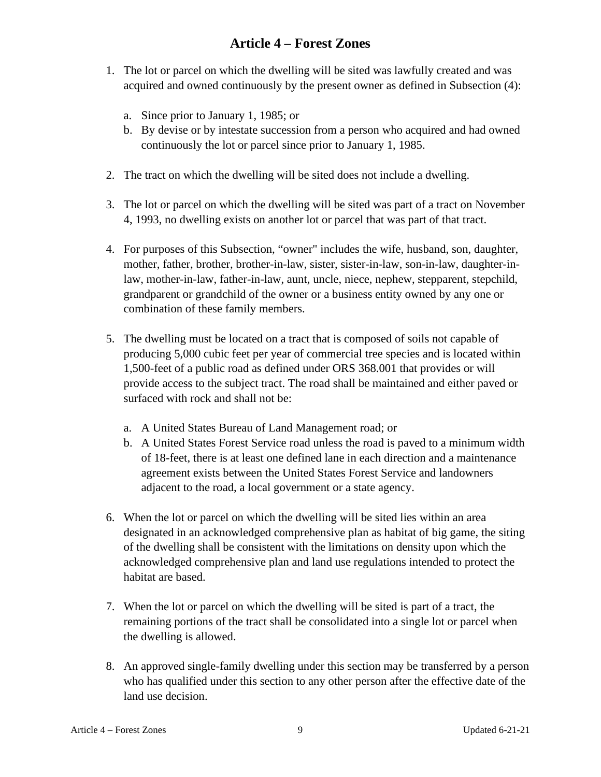- 1. The lot or parcel on which the dwelling will be sited was lawfully created and was acquired and owned continuously by the present owner as defined in Subsection (4):
	- a. Since prior to January 1, 1985; or
	- b. By devise or by intestate succession from a person who acquired and had owned continuously the lot or parcel since prior to January 1, 1985.
- 2. The tract on which the dwelling will be sited does not include a dwelling.
- 3. The lot or parcel on which the dwelling will be sited was part of a tract on November 4, 1993, no dwelling exists on another lot or parcel that was part of that tract.
- 4. For purposes of this Subsection, "owner" includes the wife, husband, son, daughter, mother, father, brother, brother-in-law, sister, sister-in-law, son-in-law, daughter-inlaw, mother-in-law, father-in-law, aunt, uncle, niece, nephew, stepparent, stepchild, grandparent or grandchild of the owner or a business entity owned by any one or combination of these family members.
- 5. The dwelling must be located on a tract that is composed of soils not capable of producing 5,000 cubic feet per year of commercial tree species and is located within 1,500-feet of a public road as defined under ORS 368.001 that provides or will provide access to the subject tract. The road shall be maintained and either paved or surfaced with rock and shall not be:
	- a. A United States Bureau of Land Management road; or
	- b. A United States Forest Service road unless the road is paved to a minimum width of 18-feet, there is at least one defined lane in each direction and a maintenance agreement exists between the United States Forest Service and landowners adjacent to the road, a local government or a state agency.
- 6. When the lot or parcel on which the dwelling will be sited lies within an area designated in an acknowledged comprehensive plan as habitat of big game, the siting of the dwelling shall be consistent with the limitations on density upon which the acknowledged comprehensive plan and land use regulations intended to protect the habitat are based.
- 7. When the lot or parcel on which the dwelling will be sited is part of a tract, the remaining portions of the tract shall be consolidated into a single lot or parcel when the dwelling is allowed.
- 8. An approved single-family dwelling under this section may be transferred by a person who has qualified under this section to any other person after the effective date of the land use decision.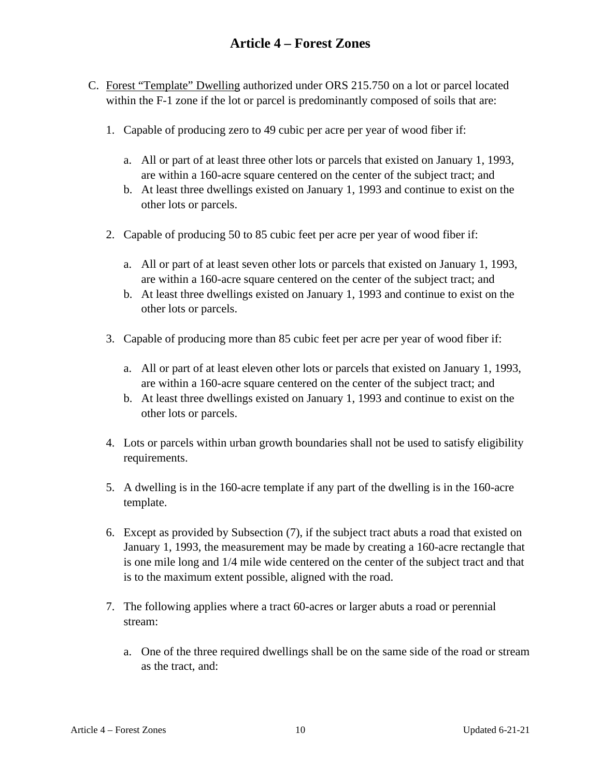- C. Forest "Template" Dwelling authorized under ORS 215.750 on a lot or parcel located within the F-1 zone if the lot or parcel is predominantly composed of soils that are:
	- 1. Capable of producing zero to 49 cubic per acre per year of wood fiber if:
		- a. All or part of at least three other lots or parcels that existed on January 1, 1993, are within a 160-acre square centered on the center of the subject tract; and
		- b. At least three dwellings existed on January 1, 1993 and continue to exist on the other lots or parcels.
	- 2. Capable of producing 50 to 85 cubic feet per acre per year of wood fiber if:
		- a. All or part of at least seven other lots or parcels that existed on January 1, 1993, are within a 160-acre square centered on the center of the subject tract; and
		- b. At least three dwellings existed on January 1, 1993 and continue to exist on the other lots or parcels.
	- 3. Capable of producing more than 85 cubic feet per acre per year of wood fiber if:
		- a. All or part of at least eleven other lots or parcels that existed on January 1, 1993, are within a 160-acre square centered on the center of the subject tract; and
		- b. At least three dwellings existed on January 1, 1993 and continue to exist on the other lots or parcels.
	- 4. Lots or parcels within urban growth boundaries shall not be used to satisfy eligibility requirements.
	- 5. A dwelling is in the 160-acre template if any part of the dwelling is in the 160-acre template.
	- 6. Except as provided by Subsection (7), if the subject tract abuts a road that existed on January 1, 1993, the measurement may be made by creating a 160-acre rectangle that is one mile long and 1/4 mile wide centered on the center of the subject tract and that is to the maximum extent possible, aligned with the road.
	- 7. The following applies where a tract 60-acres or larger abuts a road or perennial stream:
		- a. One of the three required dwellings shall be on the same side of the road or stream as the tract, and: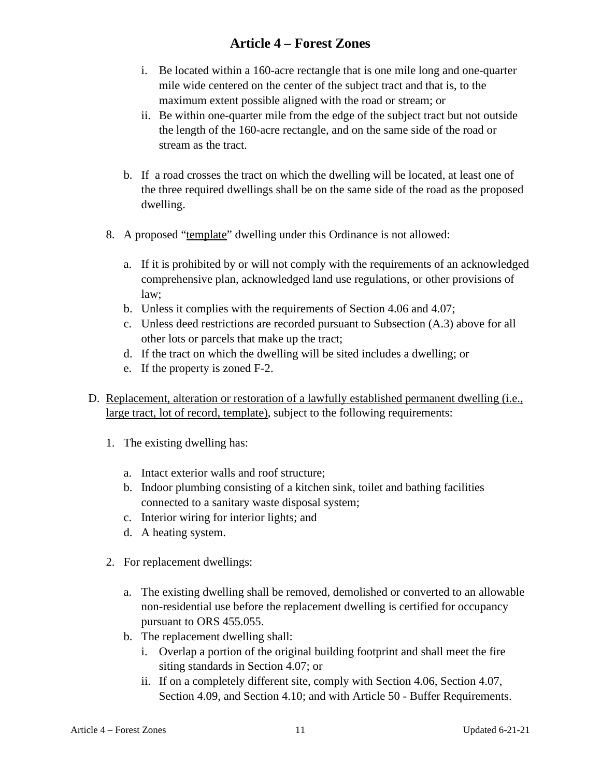- i. Be located within a 160-acre rectangle that is one mile long and one-quarter mile wide centered on the center of the subject tract and that is, to the maximum extent possible aligned with the road or stream; or
- ii. Be within one-quarter mile from the edge of the subject tract but not outside the length of the 160-acre rectangle, and on the same side of the road or stream as the tract.
- b. If a road crosses the tract on which the dwelling will be located, at least one of the three required dwellings shall be on the same side of the road as the proposed dwelling.
- 8. A proposed "template" dwelling under this Ordinance is not allowed:
	- a. If it is prohibited by or will not comply with the requirements of an acknowledged comprehensive plan, acknowledged land use regulations, or other provisions of law;
	- b. Unless it complies with the requirements of Section 4.06 and 4.07;
	- c. Unless deed restrictions are recorded pursuant to Subsection (A.3) above for all other lots or parcels that make up the tract;
	- d. If the tract on which the dwelling will be sited includes a dwelling; or
	- e. If the property is zoned F-2.
- D. Replacement, alteration or restoration of a lawfully established permanent dwelling (i.e., large tract, lot of record, template), subject to the following requirements:
	- 1. The existing dwelling has:
		- a. Intact exterior walls and roof structure;
		- b. Indoor plumbing consisting of a kitchen sink, toilet and bathing facilities connected to a sanitary waste disposal system;
		- c. Interior wiring for interior lights; and
		- d. A heating system.
	- 2. For replacement dwellings:
		- a. The existing dwelling shall be removed, demolished or converted to an allowable non-residential use before the replacement dwelling is certified for occupancy pursuant to ORS 455.055.
		- b. The replacement dwelling shall:
			- i. Overlap a portion of the original building footprint and shall meet the fire siting standards in Section 4.07; or
			- ii. If on a completely different site, comply with Section 4.06, Section 4.07, Section 4.09, and Section 4.10; and with Article 50 - Buffer Requirements.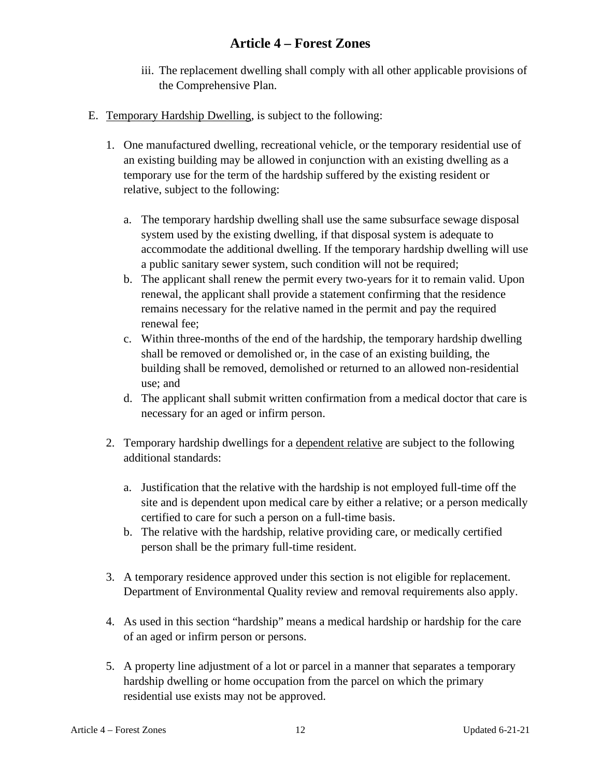- iii. The replacement dwelling shall comply with all other applicable provisions of the Comprehensive Plan.
- E. Temporary Hardship Dwelling, is subject to the following:
	- 1. One manufactured dwelling, recreational vehicle, or the temporary residential use of an existing building may be allowed in conjunction with an existing dwelling as a temporary use for the term of the hardship suffered by the existing resident or relative, subject to the following:
		- a. The temporary hardship dwelling shall use the same subsurface sewage disposal system used by the existing dwelling, if that disposal system is adequate to accommodate the additional dwelling. If the temporary hardship dwelling will use a public sanitary sewer system, such condition will not be required;
		- b. The applicant shall renew the permit every two-years for it to remain valid. Upon renewal, the applicant shall provide a statement confirming that the residence remains necessary for the relative named in the permit and pay the required renewal fee;
		- c. Within three-months of the end of the hardship, the temporary hardship dwelling shall be removed or demolished or, in the case of an existing building, the building shall be removed, demolished or returned to an allowed non-residential use; and
		- d. The applicant shall submit written confirmation from a medical doctor that care is necessary for an aged or infirm person.
	- 2. Temporary hardship dwellings for a dependent relative are subject to the following additional standards:
		- a. Justification that the relative with the hardship is not employed full-time off the site and is dependent upon medical care by either a relative; or a person medically certified to care for such a person on a full-time basis.
		- b. The relative with the hardship, relative providing care, or medically certified person shall be the primary full-time resident.
	- 3. A temporary residence approved under this section is not eligible for replacement. Department of Environmental Quality review and removal requirements also apply.
	- 4. As used in this section "hardship" means a medical hardship or hardship for the care of an aged or infirm person or persons.
	- 5. A property line adjustment of a lot or parcel in a manner that separates a temporary hardship dwelling or home occupation from the parcel on which the primary residential use exists may not be approved.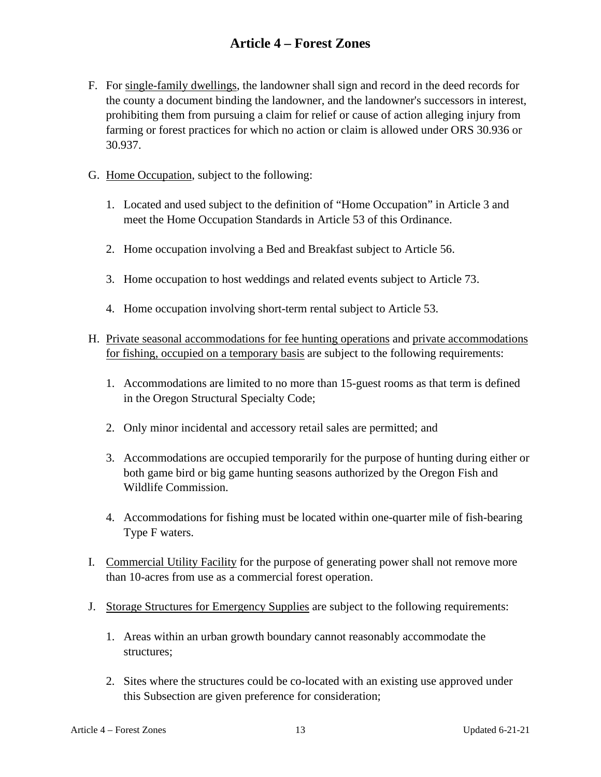- F. For single-family dwellings, the landowner shall sign and record in the deed records for the county a document binding the landowner, and the landowner's successors in interest, prohibiting them from pursuing a claim for relief or cause of action alleging injury from farming or forest practices for which no action or claim is allowed under ORS 30.936 or 30.937.
- G. Home Occupation, subject to the following:
	- 1. Located and used subject to the definition of "Home Occupation" in Article 3 and meet the Home Occupation Standards in Article 53 of this Ordinance.
	- 2. Home occupation involving a Bed and Breakfast subject to Article 56.
	- 3. Home occupation to host weddings and related events subject to Article 73.
	- 4. Home occupation involving short-term rental subject to Article 53.
- H. Private seasonal accommodations for fee hunting operations and private accommodations for fishing, occupied on a temporary basis are subject to the following requirements:
	- 1. Accommodations are limited to no more than 15-guest rooms as that term is defined in the Oregon Structural Specialty Code;
	- 2. Only minor incidental and accessory retail sales are permitted; and
	- 3. Accommodations are occupied temporarily for the purpose of hunting during either or both game bird or big game hunting seasons authorized by the Oregon Fish and Wildlife Commission.
	- 4. Accommodations for fishing must be located within one-quarter mile of fish-bearing Type F waters.
- I. Commercial Utility Facility for the purpose of generating power shall not remove more than 10-acres from use as a commercial forest operation.
- J. Storage Structures for Emergency Supplies are subject to the following requirements:
	- 1. Areas within an urban growth boundary cannot reasonably accommodate the structures;
	- 2. Sites where the structures could be co-located with an existing use approved under this Subsection are given preference for consideration;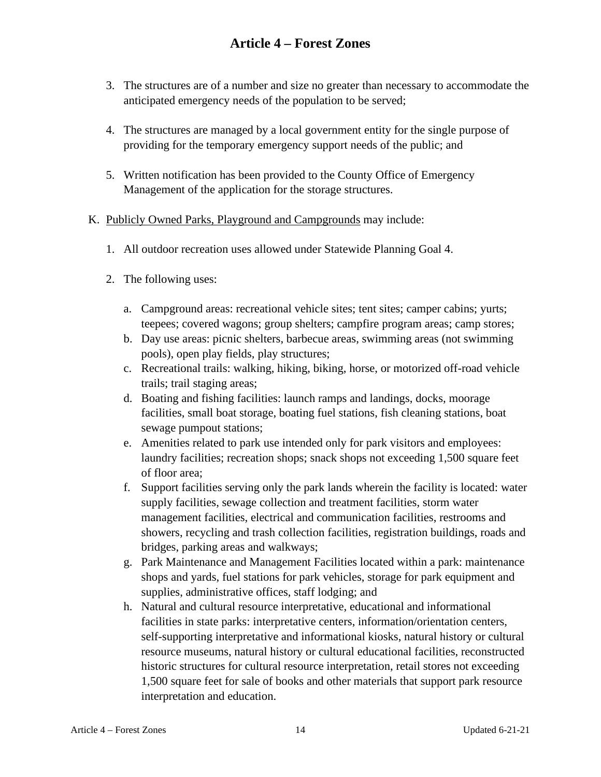- 3. The structures are of a number and size no greater than necessary to accommodate the anticipated emergency needs of the population to be served;
- 4. The structures are managed by a local government entity for the single purpose of providing for the temporary emergency support needs of the public; and
- 5. Written notification has been provided to the County Office of Emergency Management of the application for the storage structures.

#### K. Publicly Owned Parks, Playground and Campgrounds may include:

- 1. All outdoor recreation uses allowed under Statewide Planning Goal 4.
- 2. The following uses:
	- a. Campground areas: recreational vehicle sites; tent sites; camper cabins; yurts; teepees; covered wagons; group shelters; campfire program areas; camp stores;
	- b. Day use areas: picnic shelters, barbecue areas, swimming areas (not swimming pools), open play fields, play structures;
	- c. Recreational trails: walking, hiking, biking, horse, or motorized off-road vehicle trails; trail staging areas;
	- d. Boating and fishing facilities: launch ramps and landings, docks, moorage facilities, small boat storage, boating fuel stations, fish cleaning stations, boat sewage pumpout stations;
	- e. Amenities related to park use intended only for park visitors and employees: laundry facilities; recreation shops; snack shops not exceeding 1,500 square feet of floor area;
	- f. Support facilities serving only the park lands wherein the facility is located: water supply facilities, sewage collection and treatment facilities, storm water management facilities, electrical and communication facilities, restrooms and showers, recycling and trash collection facilities, registration buildings, roads and bridges, parking areas and walkways;
	- g. Park Maintenance and Management Facilities located within a park: maintenance shops and yards, fuel stations for park vehicles, storage for park equipment and supplies, administrative offices, staff lodging; and
	- h. Natural and cultural resource interpretative, educational and informational facilities in state parks: interpretative centers, information/orientation centers, self-supporting interpretative and informational kiosks, natural history or cultural resource museums, natural history or cultural educational facilities, reconstructed historic structures for cultural resource interpretation, retail stores not exceeding 1,500 square feet for sale of books and other materials that support park resource interpretation and education.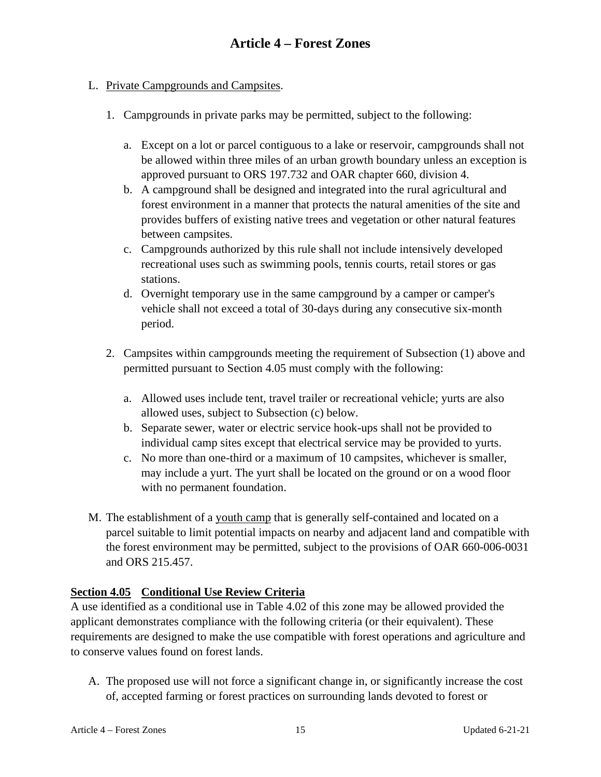#### L. Private Campgrounds and Campsites.

- 1. Campgrounds in private parks may be permitted, subject to the following:
	- a. Except on a lot or parcel contiguous to a lake or reservoir, campgrounds shall not be allowed within three miles of an urban growth boundary unless an exception is approved pursuant to ORS 197.732 and OAR chapter 660, division 4.
	- b. A campground shall be designed and integrated into the rural agricultural and forest environment in a manner that protects the natural amenities of the site and provides buffers of existing native trees and vegetation or other natural features between campsites.
	- c. Campgrounds authorized by this rule shall not include intensively developed recreational uses such as swimming pools, tennis courts, retail stores or gas stations.
	- d. Overnight temporary use in the same campground by a camper or camper's vehicle shall not exceed a total of 30-days during any consecutive six-month period.
- 2. Campsites within campgrounds meeting the requirement of Subsection (1) above and permitted pursuant to Section 4.05 must comply with the following:
	- a. Allowed uses include tent, travel trailer or recreational vehicle; yurts are also allowed uses, subject to Subsection (c) below.
	- b. Separate sewer, water or electric service hook-ups shall not be provided to individual camp sites except that electrical service may be provided to yurts.
	- c. No more than one-third or a maximum of 10 campsites, whichever is smaller, may include a yurt. The yurt shall be located on the ground or on a wood floor with no permanent foundation.
- M. The establishment of a youth camp that is generally self-contained and located on a parcel suitable to limit potential impacts on nearby and adjacent land and compatible with the forest environment may be permitted, subject to the provisions of OAR 660-006-0031 and ORS 215.457.

#### **Section 4.05 Conditional Use Review Criteria**

A use identified as a conditional use in Table 4.02 of this zone may be allowed provided the applicant demonstrates compliance with the following criteria (or their equivalent). These requirements are designed to make the use compatible with forest operations and agriculture and to conserve values found on forest lands.

A. The proposed use will not force a significant change in, or significantly increase the cost of, accepted farming or forest practices on surrounding lands devoted to forest or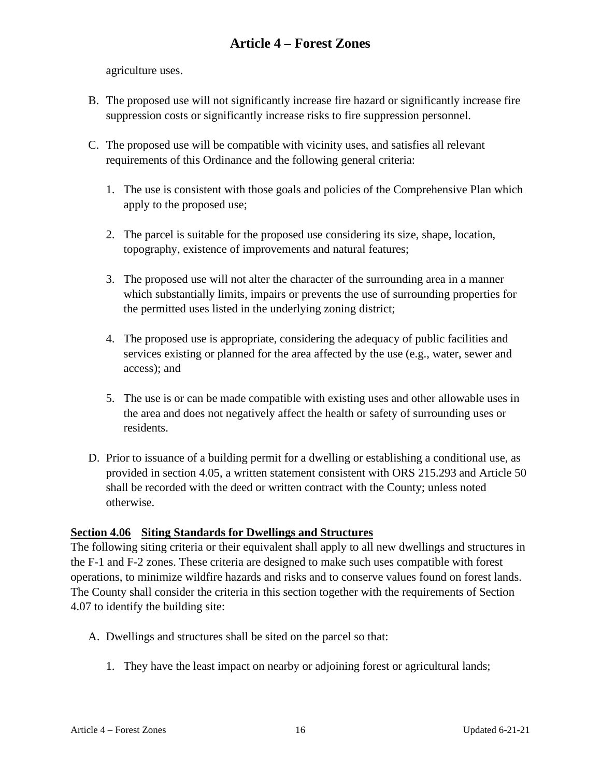agriculture uses.

- B. The proposed use will not significantly increase fire hazard or significantly increase fire suppression costs or significantly increase risks to fire suppression personnel.
- C. The proposed use will be compatible with vicinity uses, and satisfies all relevant requirements of this Ordinance and the following general criteria:
	- 1. The use is consistent with those goals and policies of the Comprehensive Plan which apply to the proposed use;
	- 2. The parcel is suitable for the proposed use considering its size, shape, location, topography, existence of improvements and natural features;
	- 3. The proposed use will not alter the character of the surrounding area in a manner which substantially limits, impairs or prevents the use of surrounding properties for the permitted uses listed in the underlying zoning district;
	- 4. The proposed use is appropriate, considering the adequacy of public facilities and services existing or planned for the area affected by the use (e.g., water, sewer and access); and
	- 5. The use is or can be made compatible with existing uses and other allowable uses in the area and does not negatively affect the health or safety of surrounding uses or residents.
- D. Prior to issuance of a building permit for a dwelling or establishing a conditional use, as provided in section 4.05, a written statement consistent with ORS 215.293 and Article 50 shall be recorded with the deed or written contract with the County; unless noted otherwise.

### **Section 4.06 Siting Standards for Dwellings and Structures**

The following siting criteria or their equivalent shall apply to all new dwellings and structures in the F-1 and F-2 zones. These criteria are designed to make such uses compatible with forest operations, to minimize wildfire hazards and risks and to conserve values found on forest lands. The County shall consider the criteria in this section together with the requirements of Section 4.07 to identify the building site:

- A. Dwellings and structures shall be sited on the parcel so that:
	- 1. They have the least impact on nearby or adjoining forest or agricultural lands;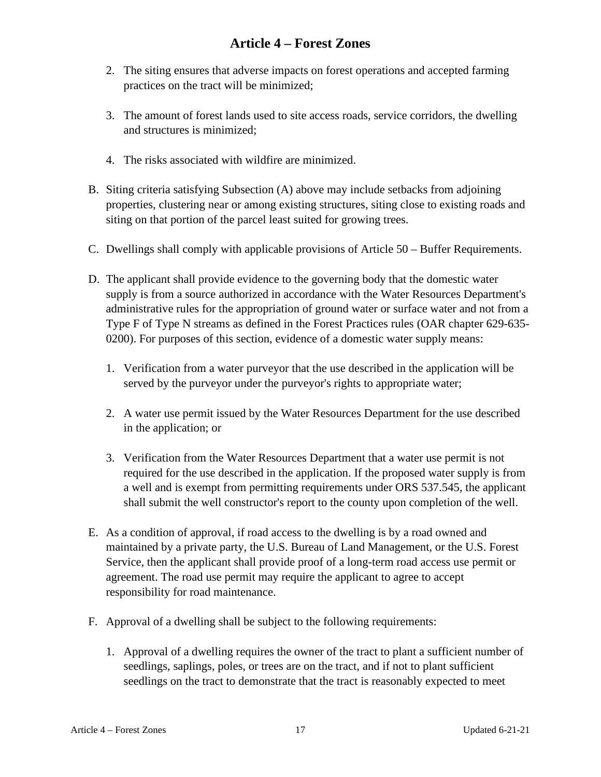- 2. The siting ensures that adverse impacts on forest operations and accepted farming practices on the tract will be minimized;
- 3. The amount of forest lands used to site access roads, service corridors, the dwelling and structures is minimized;
- 4. The risks associated with wildfire are minimized.
- B. Siting criteria satisfying Subsection (A) above may include setbacks from adjoining properties, clustering near or among existing structures, siting close to existing roads and siting on that portion of the parcel least suited for growing trees.
- C. Dwellings shall comply with applicable provisions of Article 50 Buffer Requirements.
- D. The applicant shall provide evidence to the governing body that the domestic water supply is from a source authorized in accordance with the Water Resources Department's administrative rules for the appropriation of ground water or surface water and not from a Type F of Type N streams as defined in the Forest Practices rules (OAR chapter 629-635- 0200). For purposes of this section, evidence of a domestic water supply means:
	- 1. Verification from a water purveyor that the use described in the application will be served by the purveyor under the purveyor's rights to appropriate water;
	- 2. A water use permit issued by the Water Resources Department for the use described in the application; or
	- 3. Verification from the Water Resources Department that a water use permit is not required for the use described in the application. If the proposed water supply is from a well and is exempt from permitting requirements under ORS 537.545, the applicant shall submit the well constructor's report to the county upon completion of the well.
- E. As a condition of approval, if road access to the dwelling is by a road owned and maintained by a private party, the U.S. Bureau of Land Management, or the U.S. Forest Service, then the applicant shall provide proof of a long-term road access use permit or agreement. The road use permit may require the applicant to agree to accept responsibility for road maintenance.
- F. Approval of a dwelling shall be subject to the following requirements:
	- 1. Approval of a dwelling requires the owner of the tract to plant a sufficient number of seedlings, saplings, poles, or trees are on the tract, and if not to plant sufficient seedlings on the tract to demonstrate that the tract is reasonably expected to meet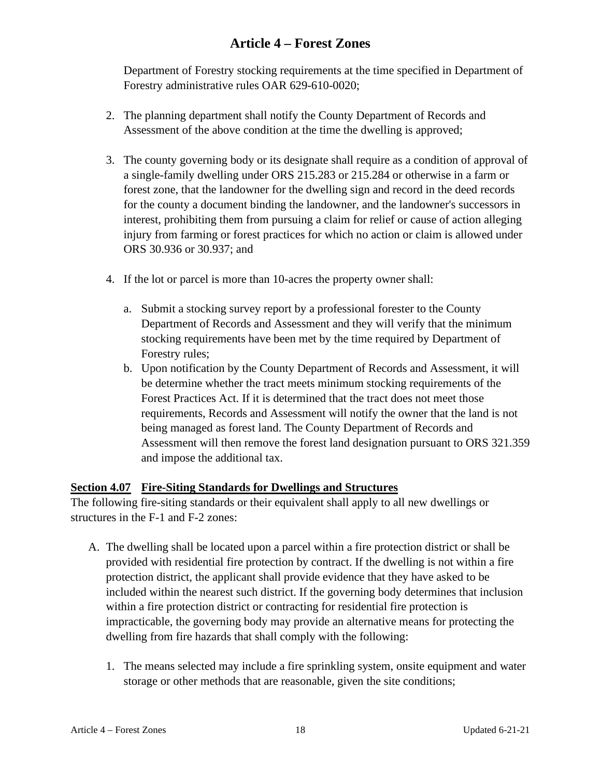Department of Forestry stocking requirements at the time specified in Department of Forestry administrative rules OAR 629-610-0020;

- 2. The planning department shall notify the County Department of Records and Assessment of the above condition at the time the dwelling is approved;
- 3. The county governing body or its designate shall require as a condition of approval of a single-family dwelling under ORS 215.283 or 215.284 or otherwise in a farm or forest zone, that the landowner for the dwelling sign and record in the deed records for the county a document binding the landowner, and the landowner's successors in interest, prohibiting them from pursuing a claim for relief or cause of action alleging injury from farming or forest practices for which no action or claim is allowed under ORS 30.936 or 30.937; and
- 4. If the lot or parcel is more than 10-acres the property owner shall:
	- a. Submit a stocking survey report by a professional forester to the County Department of Records and Assessment and they will verify that the minimum stocking requirements have been met by the time required by Department of Forestry rules;
	- b. Upon notification by the County Department of Records and Assessment, it will be determine whether the tract meets minimum stocking requirements of the Forest Practices Act. If it is determined that the tract does not meet those requirements, Records and Assessment will notify the owner that the land is not being managed as forest land. The County Department of Records and Assessment will then remove the forest land designation pursuant to ORS 321.359 and impose the additional tax.

#### **Section 4.07 Fire-Siting Standards for Dwellings and Structures**

The following fire-siting standards or their equivalent shall apply to all new dwellings or structures in the F-1 and F-2 zones:

- A. The dwelling shall be located upon a parcel within a fire protection district or shall be provided with residential fire protection by contract. If the dwelling is not within a fire protection district, the applicant shall provide evidence that they have asked to be included within the nearest such district. If the governing body determines that inclusion within a fire protection district or contracting for residential fire protection is impracticable, the governing body may provide an alternative means for protecting the dwelling from fire hazards that shall comply with the following:
	- 1. The means selected may include a fire sprinkling system, onsite equipment and water storage or other methods that are reasonable, given the site conditions;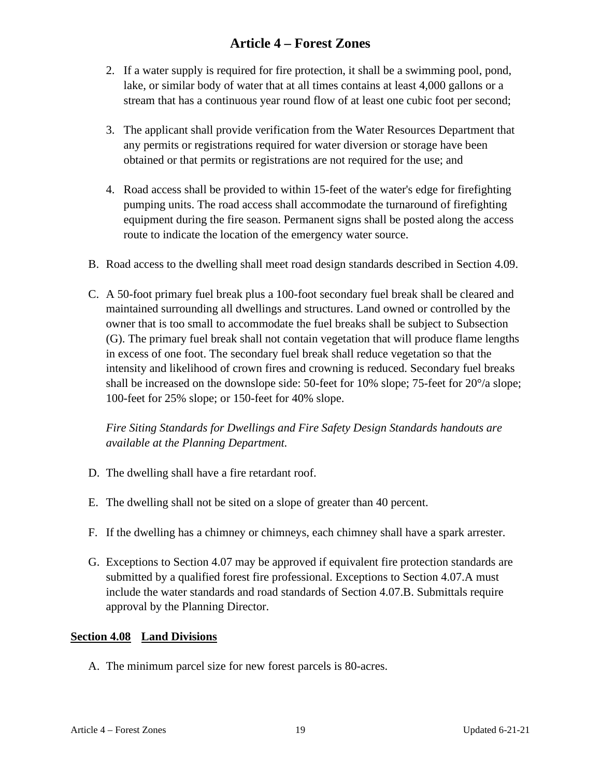- 2. If a water supply is required for fire protection, it shall be a swimming pool, pond, lake, or similar body of water that at all times contains at least 4,000 gallons or a stream that has a continuous year round flow of at least one cubic foot per second;
- 3. The applicant shall provide verification from the Water Resources Department that any permits or registrations required for water diversion or storage have been obtained or that permits or registrations are not required for the use; and
- 4. Road access shall be provided to within 15-feet of the water's edge for firefighting pumping units. The road access shall accommodate the turnaround of firefighting equipment during the fire season. Permanent signs shall be posted along the access route to indicate the location of the emergency water source.
- B. Road access to the dwelling shall meet road design standards described in Section 4.09.
- C. A 50-foot primary fuel break plus a 100-foot secondary fuel break shall be cleared and maintained surrounding all dwellings and structures. Land owned or controlled by the owner that is too small to accommodate the fuel breaks shall be subject to Subsection (G). The primary fuel break shall not contain vegetation that will produce flame lengths in excess of one foot. The secondary fuel break shall reduce vegetation so that the intensity and likelihood of crown fires and crowning is reduced. Secondary fuel breaks shall be increased on the downslope side: 50-feet for 10% slope; 75-feet for 20°/a slope; 100-feet for 25% slope; or 150-feet for 40% slope.

*Fire Siting Standards for Dwellings and Fire Safety Design Standards handouts are available at the Planning Department.*

- D. The dwelling shall have a fire retardant roof.
- E. The dwelling shall not be sited on a slope of greater than 40 percent.
- F. If the dwelling has a chimney or chimneys, each chimney shall have a spark arrester.
- G. Exceptions to Section 4.07 may be approved if equivalent fire protection standards are submitted by a qualified forest fire professional. Exceptions to Section 4.07.A must include the water standards and road standards of Section 4.07.B. Submittals require approval by the Planning Director.

#### **Section 4.08 Land Divisions**

A. The minimum parcel size for new forest parcels is 80-acres.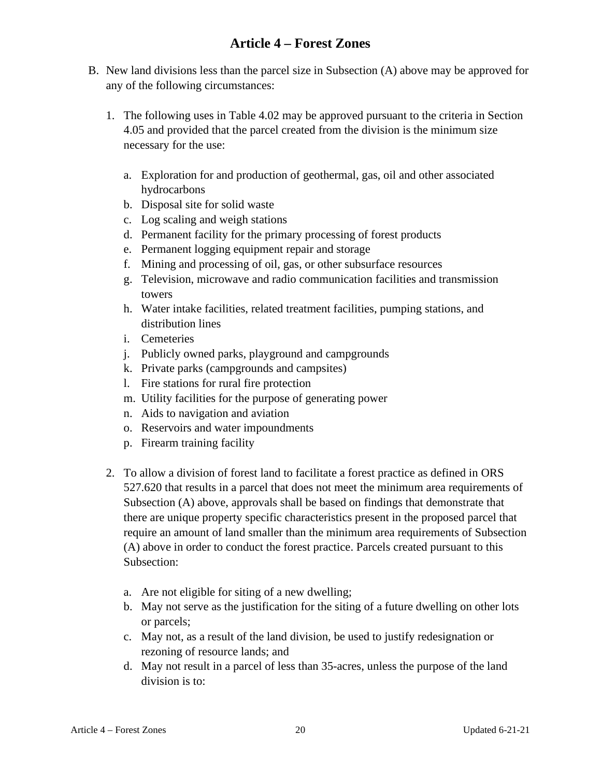- B. New land divisions less than the parcel size in Subsection (A) above may be approved for any of the following circumstances:
	- 1. The following uses in Table 4.02 may be approved pursuant to the criteria in Section 4.05 and provided that the parcel created from the division is the minimum size necessary for the use:
		- a. Exploration for and production of geothermal, gas, oil and other associated hydrocarbons
		- b. Disposal site for solid waste
		- c. Log scaling and weigh stations
		- d. Permanent facility for the primary processing of forest products
		- e. Permanent logging equipment repair and storage
		- f. Mining and processing of oil, gas, or other subsurface resources
		- g. Television, microwave and radio communication facilities and transmission towers
		- h. Water intake facilities, related treatment facilities, pumping stations, and distribution lines
		- i. Cemeteries
		- j. Publicly owned parks, playground and campgrounds
		- k. Private parks (campgrounds and campsites)
		- l. Fire stations for rural fire protection
		- m. Utility facilities for the purpose of generating power
		- n. Aids to navigation and aviation
		- o. Reservoirs and water impoundments
		- p. Firearm training facility
	- 2. To allow a division of forest land to facilitate a forest practice as defined in ORS 527.620 that results in a parcel that does not meet the minimum area requirements of Subsection (A) above, approvals shall be based on findings that demonstrate that there are unique property specific characteristics present in the proposed parcel that require an amount of land smaller than the minimum area requirements of Subsection (A) above in order to conduct the forest practice. Parcels created pursuant to this Subsection:
		- a. Are not eligible for siting of a new dwelling;
		- b. May not serve as the justification for the siting of a future dwelling on other lots or parcels;
		- c. May not, as a result of the land division, be used to justify redesignation or rezoning of resource lands; and
		- d. May not result in a parcel of less than 35-acres, unless the purpose of the land division is to: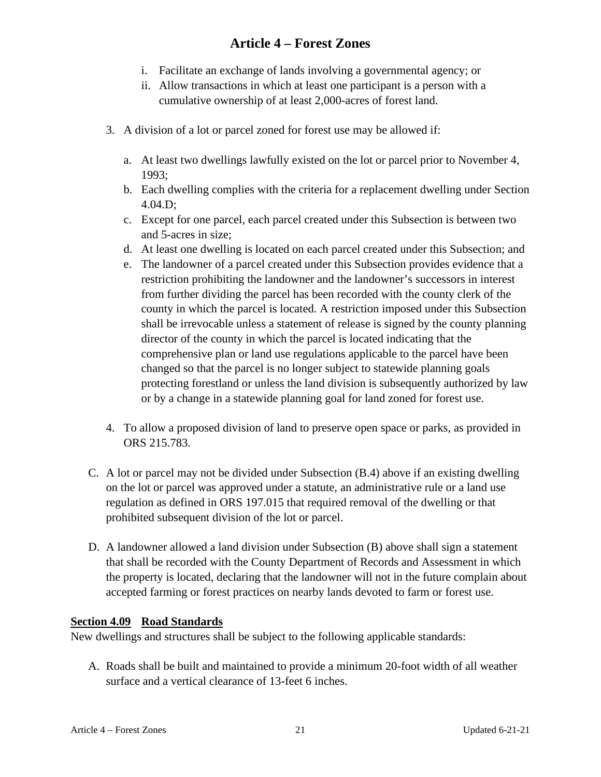- i. Facilitate an exchange of lands involving a governmental agency; or
- ii. Allow transactions in which at least one participant is a person with a cumulative ownership of at least 2,000-acres of forest land.
- 3. A division of a lot or parcel zoned for forest use may be allowed if:
	- a. At least two dwellings lawfully existed on the lot or parcel prior to November 4, 1993;
	- b. Each dwelling complies with the criteria for a replacement dwelling under Section 4.04.D;
	- c. Except for one parcel, each parcel created under this Subsection is between two and 5-acres in size;
	- d. At least one dwelling is located on each parcel created under this Subsection; and
	- e. The landowner of a parcel created under this Subsection provides evidence that a restriction prohibiting the landowner and the landowner's successors in interest from further dividing the parcel has been recorded with the county clerk of the county in which the parcel is located. A restriction imposed under this Subsection shall be irrevocable unless a statement of release is signed by the county planning director of the county in which the parcel is located indicating that the comprehensive plan or land use regulations applicable to the parcel have been changed so that the parcel is no longer subject to statewide planning goals protecting forestland or unless the land division is subsequently authorized by law or by a change in a statewide planning goal for land zoned for forest use.
- 4. To allow a proposed division of land to preserve open space or parks, as provided in ORS 215.783.
- C. A lot or parcel may not be divided under Subsection (B.4) above if an existing dwelling on the lot or parcel was approved under a statute, an administrative rule or a land use regulation as defined in ORS 197.015 that required removal of the dwelling or that prohibited subsequent division of the lot or parcel.
- D. A landowner allowed a land division under Subsection (B) above shall sign a statement that shall be recorded with the County Department of Records and Assessment in which the property is located, declaring that the landowner will not in the future complain about accepted farming or forest practices on nearby lands devoted to farm or forest use.

#### **Section 4.09 Road Standards**

New dwellings and structures shall be subject to the following applicable standards:

A. Roads shall be built and maintained to provide a minimum 20-foot width of all weather surface and a vertical clearance of 13-feet 6 inches.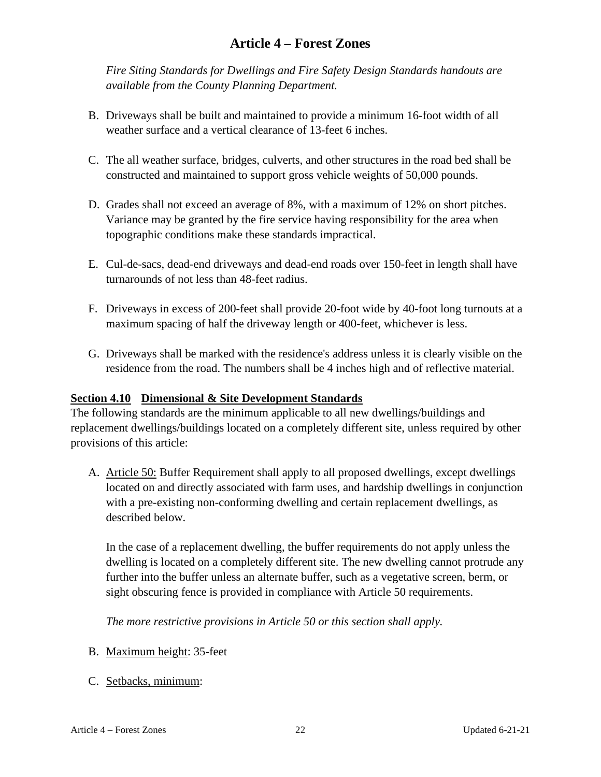*Fire Siting Standards for Dwellings and Fire Safety Design Standards handouts are available from the County Planning Department.*

- B. Driveways shall be built and maintained to provide a minimum 16-foot width of all weather surface and a vertical clearance of 13-feet 6 inches.
- C. The all weather surface, bridges, culverts, and other structures in the road bed shall be constructed and maintained to support gross vehicle weights of 50,000 pounds.
- D. Grades shall not exceed an average of 8%, with a maximum of 12% on short pitches. Variance may be granted by the fire service having responsibility for the area when topographic conditions make these standards impractical.
- E. Cul-de-sacs, dead-end driveways and dead-end roads over 150-feet in length shall have turnarounds of not less than 48-feet radius.
- F. Driveways in excess of 200-feet shall provide 20-foot wide by 40-foot long turnouts at a maximum spacing of half the driveway length or 400-feet, whichever is less.
- G. Driveways shall be marked with the residence's address unless it is clearly visible on the residence from the road. The numbers shall be 4 inches high and of reflective material.

#### **Section 4.10 Dimensional & Site Development Standards**

The following standards are the minimum applicable to all new dwellings/buildings and replacement dwellings/buildings located on a completely different site, unless required by other provisions of this article:

A. Article 50: Buffer Requirement shall apply to all proposed dwellings, except dwellings located on and directly associated with farm uses, and hardship dwellings in conjunction with a pre-existing non-conforming dwelling and certain replacement dwellings, as described below.

In the case of a replacement dwelling, the buffer requirements do not apply unless the dwelling is located on a completely different site. The new dwelling cannot protrude any further into the buffer unless an alternate buffer, such as a vegetative screen, berm, or sight obscuring fence is provided in compliance with Article 50 requirements.

*The more restrictive provisions in Article 50 or this section shall apply.* 

- B. Maximum height: 35-feet
- C. Setbacks, minimum: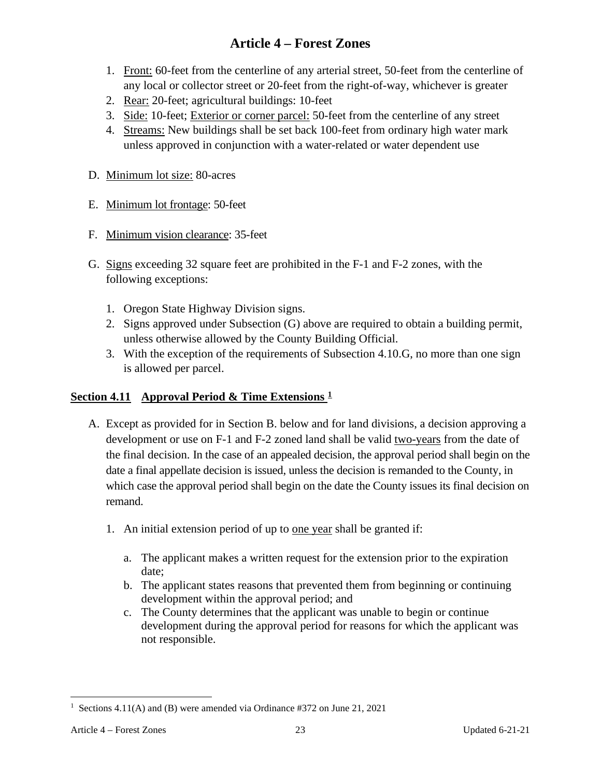- 1. Front: 60-feet from the centerline of any arterial street, 50-feet from the centerline of any local or collector street or 20-feet from the right-of-way, whichever is greater
- 2. Rear: 20-feet; agricultural buildings: 10-feet
- 3. Side: 10-feet; Exterior or corner parcel: 50-feet from the centerline of any street
- 4. Streams: New buildings shall be set back 100-feet from ordinary high water mark unless approved in conjunction with a water-related or water dependent use
- D. Minimum lot size: 80-acres
- E. Minimum lot frontage: 50-feet
- F. Minimum vision clearance: 35-feet
- G. Signs exceeding 32 square feet are prohibited in the F-1 and F-2 zones, with the following exceptions:
	- 1. Oregon State Highway Division signs.
	- 2. Signs approved under Subsection (G) above are required to obtain a building permit, unless otherwise allowed by the County Building Official.
	- 3. With the exception of the requirements of Subsection 4.10.G, no more than one sign is allowed per parcel.

#### **Section 4.11 Approval Period & Time Extensions [1](#page-22-0)**

- A. Except as provided for in Section B. below and for land divisions, a decision approving a development or use on F-1 and F-2 zoned land shall be valid two-years from the date of the final decision. In the case of an appealed decision, the approval period shall begin on the date a final appellate decision is issued, unless the decision is remanded to the County, in which case the approval period shall begin on the date the County issues its final decision on remand.
	- 1. An initial extension period of up to one year shall be granted if:
		- a. The applicant makes a written request for the extension prior to the expiration date;
		- b. The applicant states reasons that prevented them from beginning or continuing development within the approval period; and
		- c. The County determines that the applicant was unable to begin or continue development during the approval period for reasons for which the applicant was not responsible.

<span id="page-22-0"></span><sup>&</sup>lt;sup>1</sup> Sections 4.11(A) and (B) were amended via Ordinance #372 on June 21, 2021